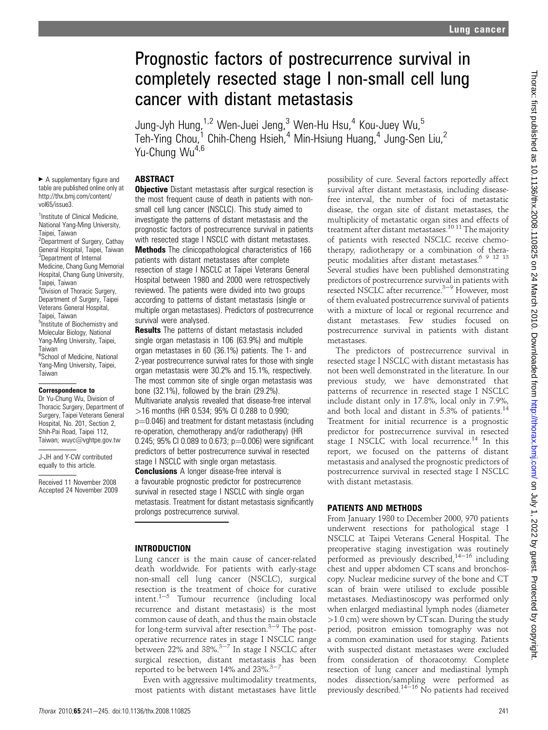# Prognostic factors of postrecurrence survival in completely resected stage I non-small cell lung cancer with distant metastasis

Jung-Jyh Hung,<sup>1,2</sup> Wen-Juei Jeng,<sup>3</sup> Wen-Hu Hsu,<sup>4</sup> Kou-Juey Wu,<sup>5</sup> Teh-Ying Chou,<sup>1</sup> Chih-Cheng Hsieh,<sup>4</sup> Min-Hsiung Huang,<sup>4</sup> Jung-Sen Liu,<sup>2</sup> Yu-Chung Wu<sup>4,6</sup>

# ABSTRACT

A supplementary figure and table are published online only at http://thx.bmj.com/content/ vol65/issue3.

<sup>1</sup>Institute of Clinical Medicine, National Yang-Ming University, Taipei, Taiwan

<sup>2</sup>Department of Surgery, Cathay General Hospital, Taipei, Taiwan <sup>3</sup>Department of Internal Medicine, Chang Gung Memorial Hospital, Chang Gung University, Tainei, Taiwan 4 Division of Thoracic Surgery, Department of Surgery, Taipei Veterans General Hospital, Taipei, Taiwan <sup>5</sup>Institute of Biochemistry and Molecular Biology, National Yang-Ming University, Taipei, Taiwan <sup>6</sup>School of Medicine, National

Yang-Ming University, Taipei, Taiwan

## Correspondence to

Dr Yu-Chung Wu, Division of Thoracic Surgery, Department of Surgery, Taipei Veterans General Hospital, No. 201, Section 2, Shih-Pai Road, Taipei 112, Taiwan; wuyc@vghtpe.gov.tw

J-JH and Y-CW contributed equally to this article.

Received 11 November 2008 Accepted 24 November 2009

**Objective** Distant metastasis after surgical resection is the most frequent cause of death in patients with nonsmall cell lung cancer (NSCLC). This study aimed to investigate the patterns of distant metastasis and the prognostic factors of postrecurrence survival in patients with resected stage I NSCLC with distant metastases. **Methods** The clinicopathological characteristics of 166 patients with distant metastases after complete resection of stage I NSCLC at Taipei Veterans General Hospital between 1980 and 2000 were retrospectively reviewed. The patients were divided into two groups according to patterns of distant metastasis (single or multiple organ metastases). Predictors of postrecurrence survival were analysed.

**Results** The patterns of distant metastasis included single organ metastasis in 106 (63.9%) and multiple organ metastases in 60 (36.1%) patients. The 1- and 2-year postrecurrence survival rates for those with single organ metastasis were 30.2% and 15.1%, respectively. The most common site of single organ metastasis was bone (32.1%), followed by the brain (29.2%). Multivariate analysis revealed that disease-free interval >16 months (HR 0.534; 95% CI 0.288 to 0.990;  $p=0.046$ ) and treatment for distant metastasis (including re-operation, chemotherapy and/or radiotherapy) (HR 0.245; 95% CI 0.089 to 0.673;  $p=0.006$ ) were significant predictors of better postrecurrence survival in resected stage I NSCLC with single organ metastasis. **Conclusions** A longer disease-free interval is a favourable prognostic predictor for postrecurrence

survival in resected stage I NSCLC with single organ metastasis. Treatment for distant metastasis significantly prolongs postrecurrence survival.

## INTRODUCTION

Lung cancer is the main cause of cancer-related death worldwide. For patients with early-stage non-small cell lung cancer (NSCLC), surgical resection is the treatment of choice for curative  $int.1^{-5}$  Tumour recurrence (including local recurrence and distant metastasis) is the most common cause of death, and thus the main obstacle for long-term survival after resection. $3-9$  The postoperative recurrence rates in stage I NSCLC range between 22% and 38%. $3-7$  In stage I NSCLC after surgical resection, distant metastasis has been reported to be between  $14\%$  and  $23\%$ .<sup>3-7</sup>

Even with aggressive multimodality treatments, most patients with distant metastases have little possibility of cure. Several factors reportedly affect survival after distant metastasis, including diseasefree interval, the number of foci of metastatic disease, the organ site of distant metastases, the multiplicity of metastatic organ sites and effects of treatment after distant metastases.10 <sup>11</sup> The majority of patients with resected NSCLC receive chemotherapy, radiotherapy or a combination of therapeutic modalities after distant metastases.6 9 12 13 Several studies have been published demonstrating predictors of postrecurrence survival in patients with resected NSCLC after recurrence. $3-9$  However, most of them evaluated postrecurrence survival of patients with a mixture of local or regional recurrence and distant metastases. Few studies focused on postrecurrence survival in patients with distant metastases.

The predictors of postrecurrence survival in resected stage I NSCLC with distant metastasis has not been well demonstrated in the literature. In our previous study, we have demonstrated that patterns of recurrence in resected stage I NSCLC include distant only in 17.8%, local only in 7.9%, and both local and distant in 5.3% of patients.<sup>14</sup> Treatment for initial recurrence is a prognostic predictor for postrecurrence survival in resected stage I NSCLC with local recurrence.<sup>14</sup> In this report, we focused on the patterns of distant metastasis and analysed the prognostic predictors of postrecurrence survival in resected stage I NSCLC with distant metastasis.

# PATIENTS AND METHODS

From January 1980 to December 2000, 970 patients underwent resections for pathological stage I NSCLC at Taipei Veterans General Hospital. The preoperative staging investigation was routinely performed as previously described, $14-16$  including chest and upper abdomen CT scans and bronchoscopy. Nuclear medicine survey of the bone and CT scan of brain were utilised to exclude possible metastases. Mediastinoscopy was performed only when enlarged mediastinal lymph nodes (diameter >1.0 cm) were shown by CT scan. During the study period, positron emission tomography was not a common examination used for staging. Patients with suspected distant metastases were excluded from consideration of thoracotomy. Complete resection of lung cancer and mediastinal lymph nodes dissection/sampling were performed as previously described.<sup>14-16</sup> No patients had received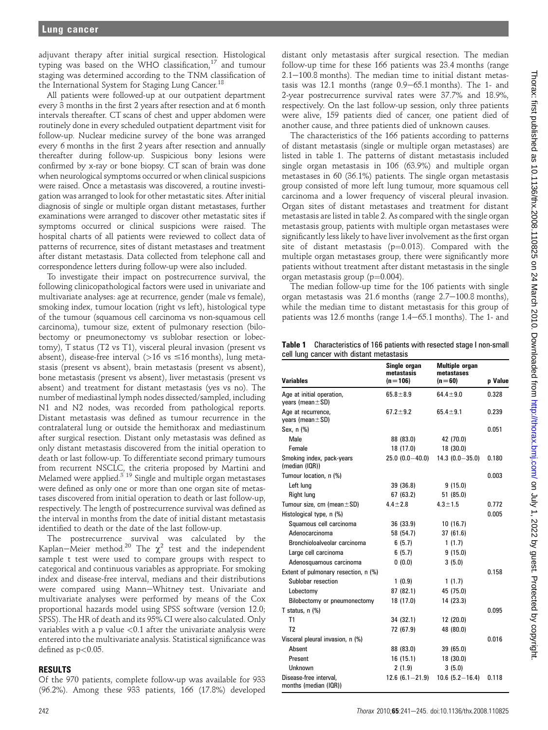adjuvant therapy after initial surgical resection. Histological typing was based on the WHO classification, $17$  and tumour staging was determined according to the TNM classification of the International System for Staging Lung Cancer.<sup>18</sup>

All patients were followed-up at our outpatient department every 3 months in the first 2 years after resection and at 6 month intervals thereafter. CT scans of chest and upper abdomen were routinely done in every scheduled outpatient department visit for follow-up. Nuclear medicine survey of the bone was arranged every 6 months in the first 2 years after resection and annually thereafter during follow-up. Suspicious bony lesions were confirmed by x-ray or bone biopsy. CT scan of brain was done when neurological symptoms occurred or when clinical suspicions were raised. Once a metastasis was discovered, a routine investigation was arranged to look for other metastatic sites. After initial diagnosis of single or multiple organ distant metastases, further examinations were arranged to discover other metastatic sites if symptoms occurred or clinical suspicions were raised. The hospital charts of all patients were reviewed to collect data of patterns of recurrence, sites of distant metastases and treatment after distant metastasis. Data collected from telephone call and correspondence letters during follow-up were also included.

To investigate their impact on postrecurrence survival, the following clinicopathological factors were used in univariate and multivariate analyses: age at recurrence, gender (male vs female), smoking index, tumour location (right vs left), histological type of the tumour (squamous cell carcinoma vs non-squamous cell carcinoma), tumour size, extent of pulmonary resection (bilobectomy or pneumonectomy vs sublobar resection or lobectomy), T status (T2 vs T1), visceral pleural invasion (present vs absent), disease-free interval  $(>16$  vs  $\leq 16$  months), lung metastasis (present vs absent), brain metastasis (present vs absent), bone metastasis (present vs absent), liver metastasis (present vs absent) and treatment for distant metastasis (yes vs no). The number of mediastinal lymph nodes dissected/sampled, including N1 and N2 nodes, was recorded from pathological reports. Distant metastasis was defined as tumour recurrence in the contralateral lung or outside the hemithorax and mediastinum after surgical resection. Distant only metastasis was defined as only distant metastasis discovered from the initial operation to death or last follow-up. To differentiate second primary tumours from recurrent NSCLC, the criteria proposed by Martini and Melamed were applied.<sup>3 19</sup> Single and multiple organ metastases were defined as only one or more than one organ site of metastases discovered from initial operation to death or last follow-up, respectively. The length of postrecurrence survival was defined as the interval in months from the date of initial distant metastasis identified to death or the date of the last follow-up.

The postrecurrence survival was calculated by the Kaplan-Meier method.<sup>20</sup> The  $\chi^2$  test and the independent sample t test were used to compare groups with respect to categorical and continuous variables as appropriate. For smoking index and disease-free interval, medians and their distributions were compared using Mann-Whitney test. Univariate and multivariate analyses were performed by means of the Cox proportional hazards model using SPSS software (version 12.0; SPSS). The HR of death and its 95% CI were also calculated. Only variables with a p value  $<$  0.1 after the univariate analysis were entered into the multivariate analysis. Statistical significance was defined as  $p<0.05$ .

#### RESULTS

Of the 970 patients, complete follow-up was available for 933 (96.2%). Among these 933 patients, 166 (17.8%) developed

distant only metastasis after surgical resection. The median follow-up time for these 166 patients was 23.4 months (range  $2.1-100.8$  months). The median time to initial distant metastasis was 12.1 months (range  $0.9-65.1$  months). The 1- and 2-year postrecurrence survival rates were 37.7% and 18.9%, respectively. On the last follow-up session, only three patients were alive, 159 patients died of cancer, one patient died of another cause, and three patients died of unknown causes.

The characteristics of the 166 patients according to patterns of distant metastasis (single or multiple organ metastases) are listed in table 1. The patterns of distant metastasis included single organ metastasis in 106 (63.9%) and multiple organ metastases in 60 (36.1%) patients. The single organ metastasis group consisted of more left lung tumour, more squamous cell carcinoma and a lower frequency of visceral pleural invasion. Organ sites of distant metastases and treatment for distant metastasis are listed in table 2. As compared with the single organ metastasis group, patients with multiple organ metastases were significantly less likely to have liver involvement as the first organ site of distant metastasis ( $p=0.013$ ). Compared with the multiple organ metastases group, there were significantly more patients without treatment after distant metastasis in the single organ metastasis group ( $p=0.004$ ).

The median follow-up time for the 106 patients with single organ metastasis was  $21.6$  months (range  $2.7-100.8$  months), while the median time to distant metastasis for this group of patients was 12.6 months (range 1.4-65.1 months). The 1- and

Table 1 Characteristics of 166 patients with resected stage I non-small cell lung cancer with distant metastasis

|                                                    | Single organ<br>metastasis | <b>Multiple organ</b><br>metastases |         |
|----------------------------------------------------|----------------------------|-------------------------------------|---------|
| <b>Variables</b>                                   | $(n=106)$                  | $(n=60)$                            | p Value |
| Age at initial operation,<br>years (mean $\pm$ SD) | $65.8 \pm 8.9$             | $64.4 \pm 9.0$                      | 0.328   |
| Age at recurrence,<br>years (mean $\pm$ SD)        | $67.2 \pm 9.2$             | $65.4 \pm 9.1$                      | 0.239   |
| Sex, n (%)                                         |                            |                                     | 0.051   |
| Male                                               | 88 (83.0)                  | 42 (70.0)                           |         |
| Female                                             | 18 (17.0)                  | 18 (30.0)                           |         |
| Smoking index, pack-years<br>(median (IQR))        | $25.0(0.0-40.0)$           | $14.3(0.0-35.0)$                    | 0.180   |
| Tumour location, n (%)                             |                            |                                     | 0.003   |
| Left lung                                          | 39 (36.8)                  | 9(15.0)                             |         |
| <b>Right lung</b>                                  | 67 (63.2)                  | 51 (85.0)                           |         |
| Tumour size, cm (mean $\pm$ SD)                    | $4.4 \pm 2.8$              | $4.3 \pm 1.5$                       | 0.772   |
| Histological type, n (%)                           |                            |                                     | 0.005   |
| Squamous cell carcinoma                            | 36 (33.9)                  | 10(16.7)                            |         |
| Adenocarcinoma                                     | 58 (54.7)                  | 37 (61.6)                           |         |
| Bronchioloalveolar carcinoma                       | 6(5.7)                     | 1(1.7)                              |         |
| Large cell carcinoma                               | 6(5.7)                     | 9(15.0)                             |         |
| Adenosquamous carcinoma                            | 0(0.0)                     | 3(5.0)                              |         |
| Extent of pulmonary resection, n (%)               |                            |                                     | 0.158   |
| Sublobar resection                                 | 1(0.9)                     | 1(1.7)                              |         |
| Lobectomy                                          | 87 (82.1)                  | 45 (75.0)                           |         |
| Bilobectomy or pneumonectomy                       | 18 (17.0)                  | 14 (23.3)                           |         |
| T status, $n$ (%)                                  |                            |                                     | 0.095   |
| T1                                                 | 34 (32.1)                  | 12(20.0)                            |         |
| T <sub>2</sub>                                     | 72 (67.9)                  | 48 (80.0)                           |         |
| Visceral pleural invasion, n (%)                   |                            |                                     | 0.016   |
| Absent                                             | 88 (83.0)                  | 39 (65.0)                           |         |
| Present                                            | 16(15.1)                   | 18 (30.0)                           |         |
| Unknown                                            | 2(1.9)                     | 3(5.0)                              |         |
| Disease-free interval,<br>months (median (IQR))    | $12.6(6.1 - 21.9)$         | $10.6$ (5.2-16.4)                   | 0.118   |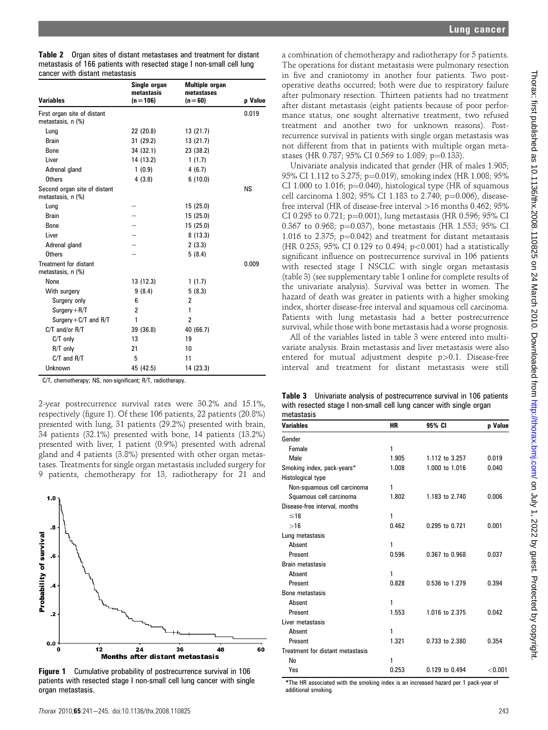|                                |  |  | <b>Table 2</b> Organ sites of distant metastases and treatment for distant |  |
|--------------------------------|--|--|----------------------------------------------------------------------------|--|
|                                |  |  | metastasis of 166 patients with resected stage I non-small cell lung       |  |
| cancer with distant metastasis |  |  |                                                                            |  |

|                                                   | Single organ<br>metastasis | <b>Multiple organ</b><br>metastases |           |
|---------------------------------------------------|----------------------------|-------------------------------------|-----------|
| <b>Variables</b>                                  | $(n = 106)$                | $(n=60)$                            | p Value   |
| First organ site of distant<br>metastasis, n (%)  |                            |                                     | 0.019     |
| Lung                                              | 22 (20.8)                  | 13 (21.7)                           |           |
| <b>Brain</b>                                      | 31 (29.2)                  | 13 (21.7)                           |           |
| Bone                                              | 34 (32.1)                  | 23 (38.2)                           |           |
| Liver                                             | 14 (13.2)                  | 1(1.7)                              |           |
| Adrenal gland                                     | 1(0.9)                     | 4(6.7)                              |           |
| <b>Others</b>                                     | 4(3.8)                     | 6(10.0)                             |           |
| Second organ site of distant<br>metastasis, n (%) |                            |                                     | <b>NS</b> |
| Lung                                              |                            | 15 (25.0)                           |           |
| <b>Brain</b>                                      |                            | 15 (25.0)                           |           |
| Bone                                              |                            | 15 (25.0)                           |           |
| Liver                                             |                            | 8(13.3)                             |           |
| Adrenal gland                                     |                            | 2(3.3)                              |           |
| <b>Others</b>                                     |                            | 5(8.4)                              |           |
| <b>Treatment for distant</b><br>metastasis, n (%) |                            |                                     | 0.009     |
| None                                              | 13 (12.3)                  | 1(1.7)                              |           |
| With surgery                                      | 9(8.4)                     | 5(8.3)                              |           |
| Surgery only                                      | 6                          | 2                                   |           |
| $Surgery + R/T$                                   | $\overline{c}$             | 1                                   |           |
| Surgery + $C/T$ and R/T                           | 1                          | $\overline{2}$                      |           |
| C/T and/or R/T                                    | 39 (36.8)                  | 40 (66.7)                           |           |
| C/T only                                          | 13                         | 19                                  |           |
| R/T only                                          | 21                         | 10                                  |           |
| $C/T$ and $R/T$                                   | 5                          | 11                                  |           |
| Unknown                                           | 45 (42.5)                  | 14 (23.3)                           |           |

C/T, chemotherapy; NS, non-significant; R/T, radiotherapy.

2-year postrecurrence survival rates were 30.2% and 15.1%, respectively (figure 1). Of these 106 patients, 22 patients (20.8%) presented with lung, 31 patients (29.2%) presented with brain, 34 patients (32.1%) presented with bone, 14 patients (13.2%) presented with liver, 1 patient (0.9%) presented with adrenal gland and 4 patients (3.8%) presented with other organ metastases. Treatments for single organ metastasis included surgery for 9 patients, chemotherapy for 13, radiotherapy for 21 and



Figure 1 Cumulative probability of postrecurrence survival in 106 patients with resected stage I non-small cell lung cancer with single organ metastasis.

a combination of chemotherapy and radiotherapy for 5 patients. The operations for distant metastasis were pulmonary resection in five and craniotomy in another four patients. Two postoperative deaths occurred; both were due to respiratory failure after pulmonary resection. Thirteen patients had no treatment after distant metastasis (eight patients because of poor performance status, one sought alternative treatment, two refused treatment and another two for unknown reasons). Postrecurrence survival in patients with single organ metastasis was not different from that in patients with multiple organ metastases (HR 0.787; 95% CI 0.569 to 1.089; p=0.133).

Univariate analysis indicated that gender (HR of males 1.905; 95% CI 1.112 to 3.275; p=0.019), smoking index (HR 1.008; 95% CI 1.000 to 1.016;  $p=0.040$ ), histological type (HR of squamous cell carcinoma 1.802; 95% CI 1.183 to 2.740;  $p=0.006$ ), diseasefree interval (HR of disease-free interval >16 months 0.462; 95% CI 0.295 to 0.721; p=0.001), lung metastasis (HR 0.596; 95% CI 0.367 to 0.968; p=0.037), bone metastasis (HR 1.553; 95% CI 1.016 to 2.375;  $p=0.042$ ) and treatment for distant metastasis (HR 0.253; 95% CI 0.129 to 0.494; p<0.001) had a statistically significant influence on postrecurrence survival in 106 patients with resected stage I NSCLC with single organ metastasis (table 3) (see supplementary table 1 online for complete results of the univariate analysis). Survival was better in women. The hazard of death was greater in patients with a higher smoking index, shorter disease-free interval and squamous cell carcinoma. Patients with lung metastasis had a better postrecurrence survival, while those with bone metastasis had a worse prognosis.

All of the variables listed in table 3 were entered into multivariate analysis. Brain metastasis and liver metastasis were also entered for mutual adjustment despite p>0.1. Disease-free interval and treatment for distant metastasis were still

|            | <b>Table 3</b> Univariate analysis of postrecurrence survival in 106 patients |  |
|------------|-------------------------------------------------------------------------------|--|
|            | with resected stage I non-small cell lung cancer with single organ            |  |
| metastasis |                                                                               |  |

| <b>Variables</b>                 | HR    | 95% CI         | p Value        |
|----------------------------------|-------|----------------|----------------|
| Gender                           |       |                |                |
| Female                           | 1     |                |                |
| Male                             | 1.905 | 1.112 to 3.257 | 0.019          |
| Smoking index, pack-years*       | 1.008 | 1.000 to 1.016 | 0.040          |
| Histological type                |       |                |                |
| Non-squamous cell carcinoma      | 1     |                |                |
| Squamous cell carcinoma          | 1.802 | 1.183 to 2.740 | 0.006          |
| Disease-free interval, months    |       |                |                |
| $≤16$                            | 1     |                |                |
| >16                              | 0.462 | 0.295 to 0.721 | 0.001          |
| Lung metastasis                  |       |                |                |
| Absent                           | 1     |                |                |
| Present                          | 0.596 | 0.367 to 0.968 | 0.037          |
| Brain metastasis                 |       |                |                |
| Absent                           | 1     |                |                |
| Present                          | 0.828 | 0.536 to 1.279 | 0.394          |
| Bone metastasis                  |       |                |                |
| Absent                           | 1     |                |                |
| Present                          | 1.553 | 1.016 to 2.375 | 0.042          |
| Liver metastasis                 |       |                |                |
| Absent                           | 1     |                |                |
| Present                          | 1.321 | 0.733 to 2.380 | 0.354          |
| Treatment for distant metastasis |       |                |                |
| No                               | 1     |                |                |
| Yes                              | 0.253 | 0.129 to 0.494 | $<$ 0.001 $\,$ |

\*The HR associated with the smoking index is an increased hazard per 1 pack-year of additional smoking.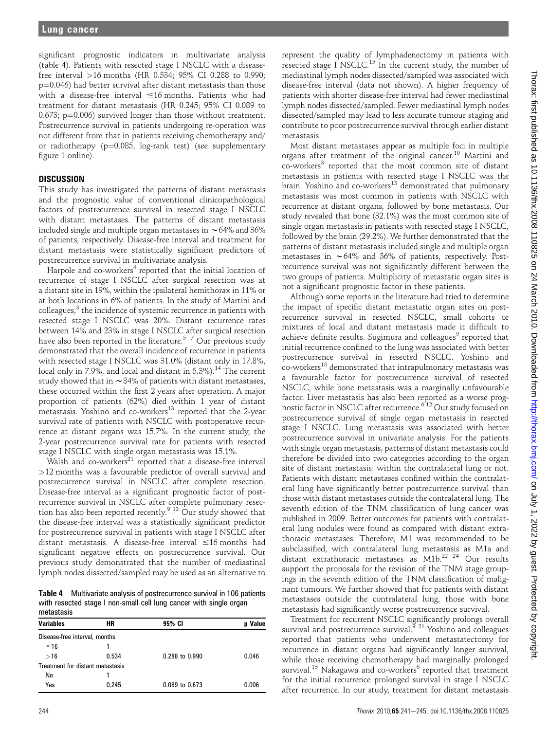significant prognostic indicators in multivariate analysis (table 4). Patients with resected stage I NSCLC with a diseasefree interval >16 months (HR 0.534; 95% CI 0.288 to 0.990;  $p=0.046$ ) had better survival after distant metastasis than those with a disease-free interval  $\leq 16$  months. Patients who had treatment for distant metastasis (HR 0.245; 95% CI 0.089 to 0.673;  $p=0.006$ ) survived longer than those without treatment. Postrecurrence survival in patients undergoing re-operation was not different from that in patients receiving chemotherapy and/ or radiotherapy ( $p=0.085$ , log-rank test) (see supplementary figure 1 online).

## **DISCUSSION**

This study has investigated the patterns of distant metastasis and the prognostic value of conventional clinicopathological factors of postrecurrence survival in resected stage I NSCLC with distant metastases. The patterns of distant metastasis included single and multiple organ metastases in  $\sim$  64% and 36% of patients, respectively. Disease-free interval and treatment for distant metastasis were statistically significant predictors of postrecurrence survival in multivariate analysis.

Harpole and co-workers<sup>4</sup> reported that the initial location of recurrence of stage I NSCLC after surgical resection was at a distant site in 19%, within the ipsilateral hemithorax in 11% or at both locations in 6% of patients. In the study of Martini and colleagues,<sup>3</sup> the incidence of systemic recurrence in patients with resected stage I NSCLC was 20%. Distant recurrence rates between 14% and 23% in stage I NSCLC after surgical resection have also been reported in the literature. $5-7$  Our previous study demonstrated that the overall incidence of recurrence in patients with resected stage I NSCLC was 31.0% (distant only in 17.8%, local only in 7.9%, and local and distant in  $5.3\%$ ).<sup>14</sup> The current study showed that in  $\sim$  84% of patients with distant metastases, these occurred within the first 2 years after operation. A major proportion of patients (62%) died within 1 year of distant metastasis. Yoshino and co-workers<sup>13</sup> reported that the 2-year survival rate of patients with NSCLC with postoperative recurrence at distant organs was 15.7%. In the current study, the 2-year postrecurrence survival rate for patients with resected stage I NSCLC with single organ metastasis was 15.1%.

Walsh and co-workers<sup>21</sup> reported that a disease-free interval >12 months was a favourable predictor of overall survival and postrecurrence survival in NSCLC after complete resection. Disease-free interval as a significant prognostic factor of postrecurrence survival in NSCLC after complete pulmonary resection has also been reported recently.9 12 Our study showed that the disease-free interval was a statistically significant predictor for postrecurrence survival in patients with stage I NSCLC after distant metastasis. A disease-free interval  $\leq 16$  months had significant negative effects on postrecurrence survival. Our previous study demonstrated that the number of mediastinal lymph nodes dissected/sampled may be used as an alternative to

Table 4 Multivariate analysis of postrecurrence survival in 106 patients with resected stage I non-small cell lung cancer with single organ metastasis

| <b>Variables</b>              | HR                               | 95% CI             | <b>p</b> Value |
|-------------------------------|----------------------------------|--------------------|----------------|
| Disease-free interval, months |                                  |                    |                |
| ≤16                           |                                  |                    |                |
| >16                           | 0.534                            | $0.288$ to $0.990$ | 0.046          |
|                               | Treatment for distant metastasis |                    |                |
| No                            |                                  |                    |                |
| Yes                           | 0.245                            | 0.089 to 0.673     | 0.006          |

represent the quality of lymphadenectomy in patients with resected stage I NSCLC.<sup>15</sup> In the current study, the number of mediastinal lymph nodes dissected/sampled was associated with disease-free interval (data not shown). A higher frequency of patients with shorter disease-free interval had fewer mediastinal lymph nodes dissected/sampled. Fewer mediastinal lymph nodes dissected/sampled may lead to less accurate tumour staging and contribute to poor postrecurrence survival through earlier distant metastasis.

Most distant metastases appear as multiple foci in multiple organs after treatment of the original cancer.<sup>10</sup> Martini and co-workers<sup>3</sup> reported that the most common site of distant metastasis in patients with resected stage I NSCLC was the brain. Yoshino and co-workers<sup>13</sup> demonstrated that pulmonary metastasis was most common in patients with NSCLC with recurrence at distant organs, followed by bone metastasis. Our study revealed that bone (32.1%) was the most common site of single organ metastasis in patients with resected stage I NSCLC, followed by the brain (29.2%). We further demonstrated that the patterns of distant metastasis included single and multiple organ metastases in  $\sim 64\%$  and 36% of patients, respectively. Postrecurrence survival was not significantly different between the two groups of patients. Multiplicity of metastatic organ sites is not a significant prognostic factor in these patients.

Although some reports in the literature had tried to determine the impact of specific distant metastatic organ sites on postrecurrence survival in resected NSCLC, small cohorts or mixtures of local and distant metastasis made it difficult to achieve definite results. Sugimura and colleagues<sup>9</sup> reported that initial recurrence confined to the lung was associated with better postrecurrence survival in resected NSCLC. Yoshino and co-workers<sup>13</sup> demonstrated that intrapulmonary metastasis was a favourable factor for postrecurrence survival of resected NSCLC, while bone metastasis was a marginally unfavourable factor. Liver metastasis has also been reported as a worse prognostic factor in NSCLC after recurrence.<sup>612</sup> Our study focused on postrecurrence survival of single organ metastasis in resected stage I NSCLC. Lung metastasis was associated with better postrecurrence survival in univariate analysis. For the patients with single organ metastasis, patterns of distant metastasis could therefore be divided into two categories according to the organ site of distant metastasis: within the contralateral lung or not. Patients with distant metastases confined within the contralateral lung have significantly better postrecurrence survival than those with distant metastases outside the contralateral lung. The seventh edition of the TNM classification of lung cancer was published in 2009. Better outcomes for patients with contralateral lung nodules were found as compared with distant extrathoracic metastases. Therefore, M1 was recommended to be subclassified, with contralateral lung metastasis as M1a and distant extrathoracic metastases as  $M1b$ <sup>22-24</sup> Our results support the proposals for the revision of the TNM stage groupings in the seventh edition of the TNM classification of malignant tumours. We further showed that for patients with distant metastases outside the contralateral lung, those with bone metastasis had significantly worse postrecurrence survival.

Treatment for recurrent NSCLC significantly prolongs overall survival and postrecurrence survival.<sup>9</sup><sup>21</sup> Yoshino and colleagues reported that patients who underwent metastatectomy for recurrence in distant organs had significantly longer survival, while those receiving chemotherapy had marginally prolonged survival.<sup>13</sup> Nakagawa and co-workers<sup>6</sup> reported that treatment for the initial recurrence prolonged survival in stage I NSCLC after recurrence. In our study, treatment for distant metastasis